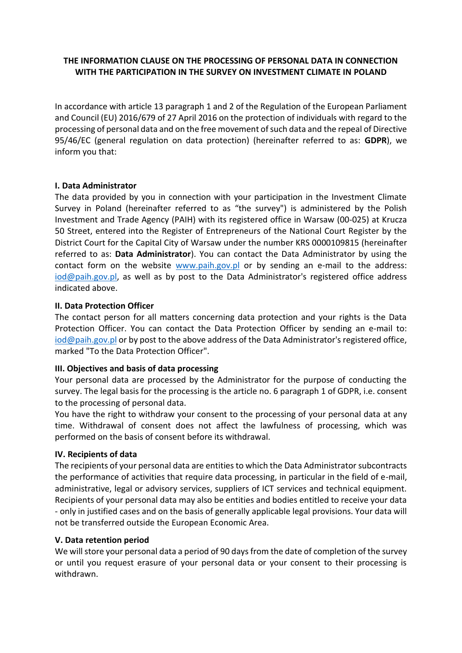# **THE INFORMATION CLAUSE ON THE PROCESSING OF PERSONAL DATA IN CONNECTION WITH THE PARTICIPATION IN THE SURVEY ON INVESTMENT CLIMATE IN POLAND**

In accordance with article 13 paragraph 1 and 2 of the Regulation of the European Parliament and Council (EU) 2016/679 of 27 April 2016 on the protection of individuals with regard to the processing of personal data and on the free movement of such data and the repeal of Directive 95/46/EC (general regulation on data protection) (hereinafter referred to as: **GDPR**), we inform you that:

### **I. Data Administrator**

The data provided by you in connection with your participation in the Investment Climate Survey in Poland (hereinafter referred to as "the survey") is administered by the Polish Investment and Trade Agency (PAIH) with its registered office in Warsaw (00-025) at Krucza 50 Street, entered into the Register of Entrepreneurs of the National Court Register by the District Court for the Capital City of Warsaw under the number KRS 0000109815 (hereinafter referred to as: **Data Administrator**). You can contact the Data Administrator by using the contact form on the website  $www.paih.gov.pl$  or by sending an e-mail to the address: [iod@paih.gov.pl,](mailto:iod@paih.gov.pl) as well as by post to the Data Administrator's registered office address indicated above.

### **II. Data Protection Officer**

The contact person for all matters concerning data protection and your rights is the Data Protection Officer. You can contact the Data Protection Officer by sending an e-mail to: [iod@paih.gov.pl](mailto:iod@paih.gov.pl) or by post to the above address of the Data Administrator's registered office, marked "To the Data Protection Officer".

# **III. Objectives and basis of data processing**

Your personal data are processed by the Administrator for the purpose of conducting the survey. The legal basis for the processing is the article no. 6 paragraph 1 of GDPR, i.e. consent to the processing of personal data.

You have the right to withdraw your consent to the processing of your personal data at any time. Withdrawal of consent does not affect the lawfulness of processing, which was performed on the basis of consent before its withdrawal.

#### **IV. Recipients of data**

The recipients of your personal data are entities to which the Data Administrator subcontracts the performance of activities that require data processing, in particular in the field of e-mail, administrative, legal or advisory services, suppliers of ICT services and technical equipment. Recipients of your personal data may also be entities and bodies entitled to receive your data - only in justified cases and on the basis of generally applicable legal provisions. Your data will not be transferred outside the European Economic Area.

#### **V. Data retention period**

We will store your personal data a period of 90 days from the date of completion of the survey or until you request erasure of your personal data or your consent to their processing is withdrawn.